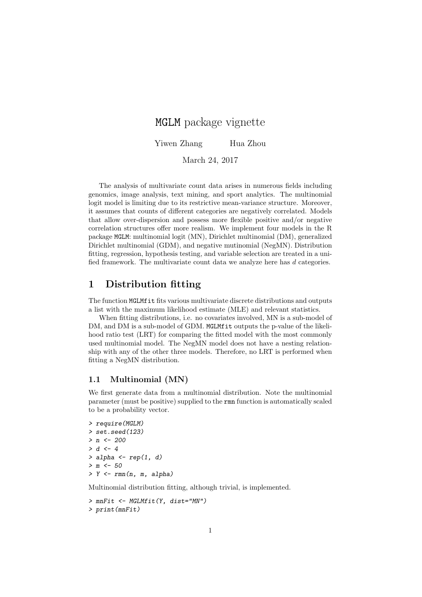# MGLM package vignette

Yiwen Zhang Hua Zhou

March 24, 2017

The analysis of multivariate count data arises in numerous fields including genomics, image analysis, text mining, and sport analytics. The multinomial logit model is limiting due to its restrictive mean-variance structure. Moreover, it assumes that counts of different categories are negatively correlated. Models that allow over-dispersion and possess more flexible positive and/or negative correlation structures offer more realism. We implement four models in the R package MGLM: multinomial logit (MN), Dirichlet multinomial (DM), generalized Dirichlet multinomial (GDM), and negative mutinomial (NegMN). Distribution fitting, regression, hypothesis testing, and variable selection are treated in a unified framework. The multivariate count data we analyze here has d categories.

# 1 Distribution fitting

The function MGLMfit fits various multivariate discrete distributions and outputs a list with the maximum likelihood estimate (MLE) and relevant statistics.

When fitting distributions, i.e. no covariates involved, MN is a sub-model of DM, and DM is a sub-model of GDM. MGLMfit outputs the p-value of the likelihood ratio test (LRT) for comparing the fitted model with the most commonly used multinomial model. The NegMN model does not have a nesting relationship with any of the other three models. Therefore, no LRT is performed when fitting a NegMN distribution.

#### 1.1 Multinomial (MN)

We first generate data from a multinomial distribution. Note the multinomial parameter (must be positive) supplied to the rmn function is automatically scaled to be a probability vector.

```
> require(MGLM)
> set.seed(123)
> n < -200> d < -4> alpha \leq rep(1, d)
> m < -50> Y \leq rmn(n, m, alpha)
```
Multinomial distribution fitting, although trivial, is implemented.

> mnFit <- MGLMfit(Y, dist="MN") > print(mnFit)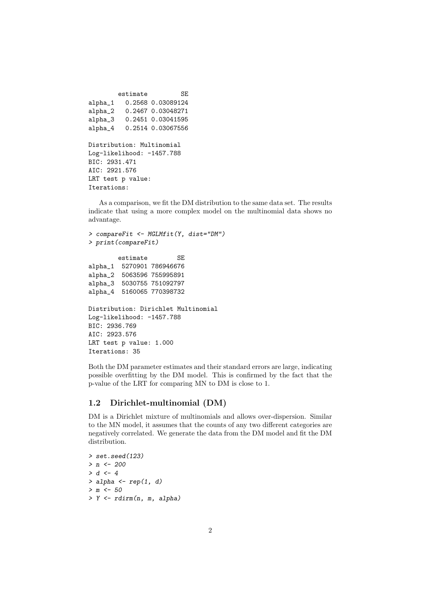```
estimate SE
alpha_1 0.2568 0.03089124
alpha_2 0.2467 0.03048271
alpha_3 0.2451 0.03041595
alpha_4 0.2514 0.03067556
Distribution: Multinomial
Log-likelihood: -1457.788
BIC: 2931.471
AIC: 2921.576
LRT test p value:
Iterations:
```
As a comparison, we fit the DM distribution to the same data set. The results indicate that using a more complex model on the multinomial data shows no advantage.

```
> compareFit <- MGLMfit(Y, dist="DM")
> print(compareFit)
        estimate SE
alpha_1 5270901 786946676
alpha_2 5063596 755995891
alpha_3 5030755 751092797
alpha_4 5160065 770398732
Distribution: Dirichlet Multinomial
Log-likelihood: -1457.788
BIC: 2936.769
AIC: 2923.576
LRT test p value: 1.000
Iterations: 35
```
Both the DM parameter estimates and their standard errors are large, indicating possible overfitting by the DM model. This is confirmed by the fact that the p-value of the LRT for comparing MN to DM is close to 1.

# 1.2 Dirichlet-multinomial (DM)

DM is a Dirichlet mixture of multinomials and allows over-dispersion. Similar to the MN model, it assumes that the counts of any two different categories are negatively correlated. We generate the data from the DM model and fit the DM distribution.

> set.seed(123)  $> n < -200$  $> d < -4$  $>$  alpha  $\leq$  rep(1, d)  $> m < -50$ > Y <- rdirm(n, m, alpha)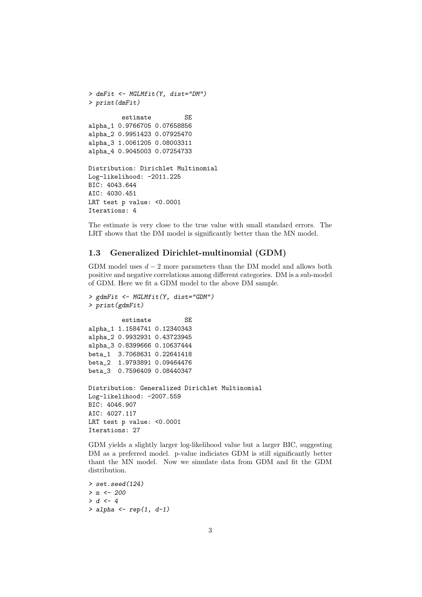```
> dmFit <- MGLMfit(Y, dist="DM")
> print(dmFit)
         estimate SE
alpha_1 0.9766705 0.07658856
alpha_2 0.9951423 0.07925470
alpha_3 1.0061205 0.08003311
alpha_4 0.9045003 0.07254733
Distribution: Dirichlet Multinomial
Log-likelihood: -2011.225
BIC: 4043.644
AIC: 4030.451
LRT test p value: <0.0001
Iterations: 4
```
The estimate is very close to the true value with small standard errors. The LRT shows that the DM model is significantly better than the MN model.

# 1.3 Generalized Dirichlet-multinomial (GDM)

GDM model uses  $d - 2$  more parameters than the DM model and allows both positive and negative correlations among different categories. DM is a sub-model of GDM. Here we fit a GDM model to the above DM sample.

```
> gdmFit <- MGLMfit(Y, dist="GDM")
> print(gdmFit)
         estimate SE
alpha_1 1.1584741 0.12340343
alpha_2 0.9932931 0.43723945
alpha_3 0.8399666 0.10637444
beta_1 3.7068631 0.22641418
beta_2 1.9793891 0.09464476
beta_3 0.7596409 0.08440347
Distribution: Generalized Dirichlet Multinomial
Log-likelihood: -2007.559
BIC: 4046.907
AIC: 4027.117
LRT test p value: <0.0001
Iterations: 27
```
GDM yields a slightly larger log-likelihood value but a larger BIC, suggesting DM as a preferred model. p-value indiciates GDM is still significantly better thant the MN model. Now we simulate data from GDM and fit the GDM distribution.

```
> set.seed(124)
> n < - 200> d < -4> alpha \leq rep(1, d-1)
```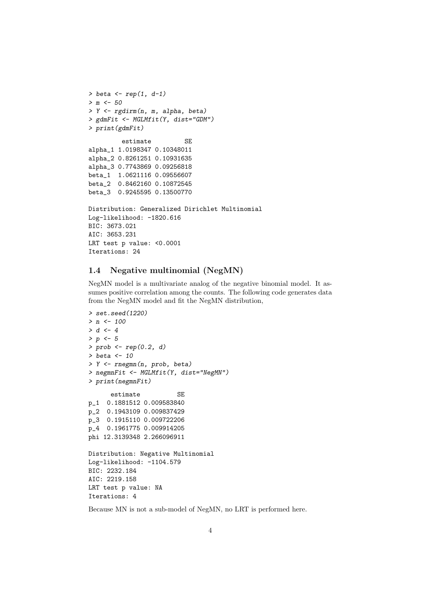```
> beta \leftarrow rep(1, d-1)> m < -50> Y <- rgdirm(n, m, alpha, beta)
> gdmFit <- MGLMfit(Y, dist="GDM")
> print(gdmFit)
         estimate SE
alpha_1 1.0198347 0.10348011
alpha_2 0.8261251 0.10931635
alpha_3 0.7743869 0.09256818
beta_1 1.0621116 0.09556607
beta_2 0.8462160 0.10872545
beta_3 0.9245595 0.13500770
Distribution: Generalized Dirichlet Multinomial
Log-likelihood: -1820.616
BIC: 3673.021
AIC: 3653.231
LRT test p value: <0.0001
Iterations: 24
```
## 1.4 Negative multinomial (NegMN)

NegMN model is a multivariate analog of the negative binomial model. It assumes positive correlation among the counts. The following code generates data from the NegMN model and fit the NegMN distribution,

```
> set.seed(1220)
> n < - 100> d < -4> p < -5> prob \leq rep(0.2, d)
> beta <- 10
> Y <- rnegmn(n, prob, beta)
> negmnFit <- MGLMfit(Y, dist="NegMN")
> print(negmnFit)
      estimate SE
p_1 0.1881512 0.009583840
p_2 0.1943109 0.009837429
p_3 0.1915110 0.009722206
p_4 0.1961775 0.009914205
phi 12.3139348 2.266096911
Distribution: Negative Multinomial
Log-likelihood: -1104.579
BIC: 2232.184
AIC: 2219.158
LRT test p value: NA
Iterations: 4
```
Because MN is not a sub-model of NegMN, no LRT is performed here.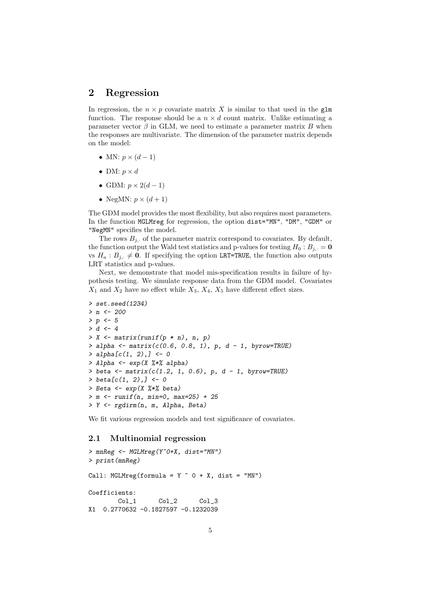# 2 Regression

In regression, the  $n \times p$  covariate matrix X is similar to that used in the glm function. The response should be a  $n \times d$  count matrix. Unlike estimating a parameter vector  $\beta$  in GLM, we need to estimate a parameter matrix B when the responses are multivariate. The dimension of the parameter matrix depends on the model:

- MN:  $p \times (d-1)$
- DM:  $p \times d$
- GDM:  $p \times 2(d-1)$
- NegMN:  $p \times (d+1)$

The GDM model provides the most flexibility, but also requires most parameters. In the function MGLMreg for regression, the option dist="MN", "DM", "GDM" or "NegMN" specifies the model.

The rows  $B_i$ , of the parameter matrix correspond to covariates. By default, the function output the Wald test statistics and p-values for testing  $H_0 : B_{j,:} = \mathbf{0}$ vs  $H_a: B_{j,1} \neq 0$ . If specifying the option LRT=TRUE, the function also outputs LRT statistics and p-values.

Next, we demonstrate that model mis-specification results in failure of hypothesis testing. We simulate response data from the GDM model. Covariates  $X_1$  and  $X_2$  have no effect while  $X_3$ ,  $X_4$ ,  $X_5$  have different effect sizes.

```
> set.seed(1234)
> n < - 200> p \le -5> d < -4> X \le matrix(runif(p * n), n, p)
> alpha <- matrix(c(0.6, 0.8, 1), p, d - 1, byrow=TRUE)
> alpha[c(1, 2),] <- 0
> Alpha \leq exp(X \frac{1}{6} alpha)
> beta <- matrix(c(1.2, 1, 0.6), p, d - 1, byrow = TRUE)> \text{beta}[c(1, 2),] < -0> Beta \leq - \exp(X \sqrt[2]{*}\%) beta)
> m \le runif(n, min=0, max=25) + 25
> Y <- rgdirm(n, m, Alpha, Beta)
```
We fit various regression models and test significance of covariates.

#### 2.1 Multinomial regression

```
> mnReg <- MGLMreg(Y~0+X, dist="MN")
> print(mnReg)
Call: MGLMreg(formula = Y \sim 0 + X, dist = "MN")
Coefficients:
       Col_1 Col_2 Col_3
X1 0.2770632 -0.1827597 -0.1232039
```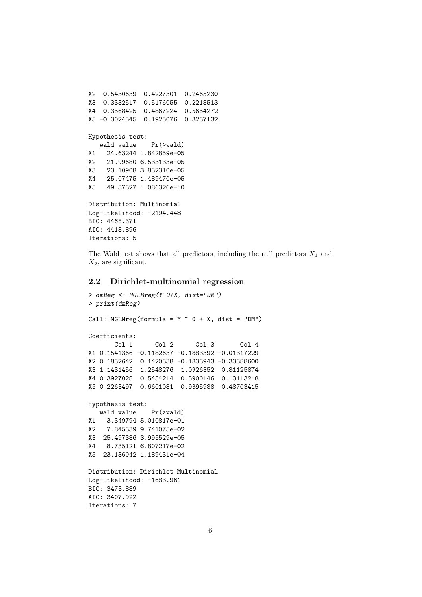```
X2 0.5430639 0.4227301 0.2465230
X3 0.3332517 0.5176055 0.2218513
X4 0.3568425 0.4867224 0.5654272
X5 -0.3024545 0.1925076 0.3237132
Hypothesis test:
  wald value Pr(>wald)
X1 24.63244 1.842859e-05
X2 21.99680 6.533133e-05
X3 23.10908 3.832310e-05
X4 25.07475 1.489470e-05
X5 49.37327 1.086326e-10
Distribution: Multinomial
Log-likelihood: -2194.448
BIC: 4468.371
AIC: 4418.896
Iterations: 5
```
The Wald test shows that all predictors, including the null predictors  $X_1$  and  $X_2$ , are significant.

#### 2.2 Dirichlet-multinomial regression

```
> dmReg <- MGLMreg(Y~0+X, dist="DM")
> print(dmReg)
Call: MGLMreg(formula = Y \sim 0 + X, dist = "DM")
Coefficients:
      Col_1 Col_2 Col_3 Col_4
X1 0.1541366 -0.1182637 -0.1883392 -0.01317229
X2 0.1832642 0.1420338 -0.1833943 -0.33388600
X3 1.1431456 1.2548276 1.0926352 0.81125874
X4 0.3927028 0.5454214 0.5900146 0.13113218
X5 0.2263497 0.6601081 0.9395988 0.48703415
Hypothesis test:
  wald value Pr(>wald)
X1 3.349794 5.010817e-01
X2 7.845339 9.741075e-02
X3 25.497386 3.995529e-05
X4 8.735121 6.807217e-02
X5 23.136042 1.189431e-04
Distribution: Dirichlet Multinomial
Log-likelihood: -1683.961
BIC: 3473.889
AIC: 3407.922
Iterations: 7
```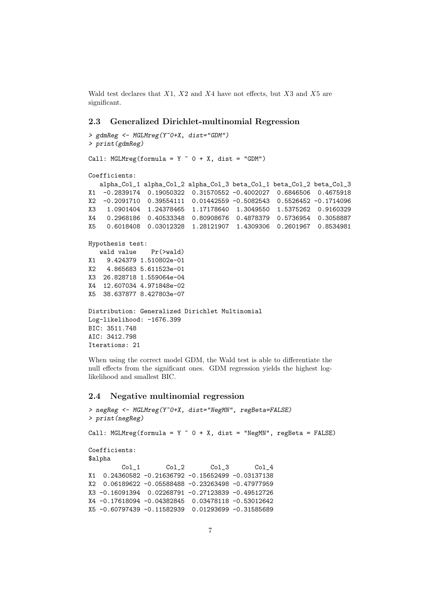Wald test declares that  $X1$ ,  $X2$  and  $X4$  have not effects, but  $X3$  and  $X5$  are significant.

#### 2.3 Generalized Dirichlet-multinomial Regression

```
> gdmReg <- MGLMreg(Y~0+X, dist="GDM")
> print(gdmReg)
Call: MGLMreg(formula = Y \sim 0 + X, dist = "GDM")
Coefficients:
  alpha_Col_1 alpha_Col_2 alpha_Col_3 beta_Col_1 beta_Col_2 beta_Col_3
X1 -0.2839174 0.19050322 0.31570552 -0.4002027 0.6846506 0.4675918
X2 -0.2091710 0.39554111 0.01442559 -0.5082543 0.5526452 -0.1714096
X3 1.0901404 1.24378465 1.17178640 1.3049550 1.5375262 0.9160329
X4 0.2968186 0.40533348 0.80908676 0.4878379 0.5736954 0.3058887
X5 0.6018408 0.03012328 1.28121907 1.4309306 0.2601967 0.8534981
Hypothesis test:
  wald value Pr(>wald)
X1 9.424379 1.510802e-01
X2 4.865683 5.611523e-01
X3 26.828718 1.559064e-04
X4 12.607034 4.971848e-02
X5 38.637877 8.427803e-07
Distribution: Generalized Dirichlet Multinomial
Log-likelihood: -1676.399
BIC: 3511.748
AIC: 3412.798
Iterations: 21
```
When using the correct model GDM, the Wald test is able to differentiate the null effects from the significant ones. GDM regression yields the highest loglikelihood and smallest BIC.

#### 2.4 Negative multinomial regression

```
> negReg <- MGLMreg(Y~0+X, dist="NegMN", regBeta=FALSE)
> print(negReg)
Call: MGLMreg(formula = Y \degree 0 + X, dist = "NegMN", regBeta = FALSE)
Coefficients:
$alpha
        Col_1 Col_2 Col_3 Col_4
X1 0.24360582 -0.21636792 -0.15652499 -0.03137138
X2 0.06189622 -0.05588488 -0.23263498 -0.47977959
X3 -0.16091394 0.02268791 -0.27123839 -0.49512726
X4 -0.17618094 -0.04382845 0.03478118 -0.53012642
X5 -0.60797439 -0.11582939 0.01293699 -0.31585689
```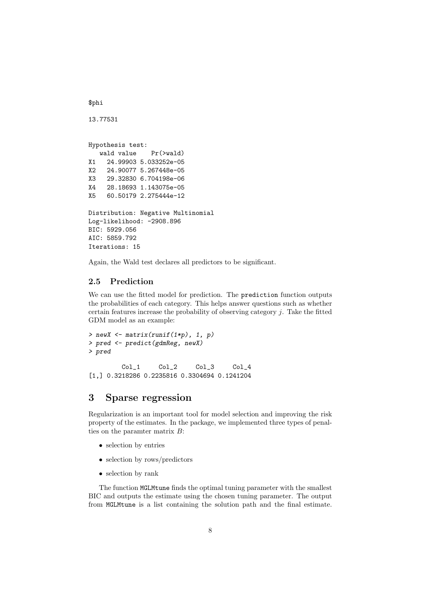\$phi

```
13.77531
```
Hypothesis test: wald value Pr(>wald) X1 24.99903 5.033252e-05 X2 24.90077 5.267448e-05 X3 29.32830 6.704198e-06 X4 28.18693 1.143075e-05 X5 60.50179 2.275444e-12 Distribution: Negative Multinomial

Log-likelihood: -2908.896 BIC: 5929.056 AIC: 5859.792 Iterations: 15

Again, the Wald test declares all predictors to be significant.

### 2.5 Prediction

We can use the fitted model for prediction. The prediction function outputs the probabilities of each category. This helps answer questions such as whether certain features increase the probability of observing category  $j$ . Take the fitted GDM model as an example:

```
> newX \leftarrow matrix(runif(1*p), 1, p)
> pred <- predict(gdmReg, newX)
> pred
        Col_1 Col_2 Col_3 Col_4
[1,] 0.3218286 0.2235816 0.3304694 0.1241204
```
# 3 Sparse regression

Regularization is an important tool for model selection and improving the risk property of the estimates. In the package, we implemented three types of penalties on the paramter matrix B:

- selection by entries
- selection by rows/predictors
- selection by rank

The function MGLMtune finds the optimal tuning parameter with the smallest BIC and outputs the estimate using the chosen tuning parameter. The output from MGLMtune is a list containing the solution path and the final estimate.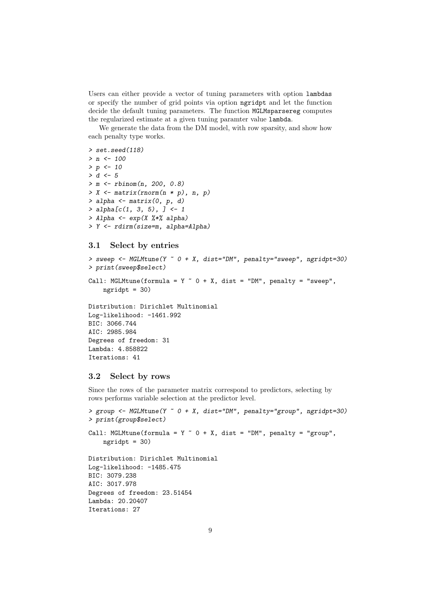Users can either provide a vector of tuning parameters with option lambdas or specify the number of grid points via option ngridpt and let the function decide the default tuning parameters. The function MGLMsparsereg computes the regularized estimate at a given tuning paramter value lambda.

We generate the data from the DM model, with row sparsity, and show how each penalty type works.

```
> set.seed(118)
> n < - 100> p < - 10> d < -5> m \le rbinom(n, 200, 0.8)> X \leq matrix(rnorm(n * p), n, p)
> alpha \leq matrix(0, p, d)
> alpha[c(1, 3, 5), ] < -1> Alpha <- exp(X %*% alpha)
> Y <- rdirm(size=m, alpha=Alpha)
```
#### 3.1 Select by entries

```
> sweep <- MGLMtune(Y ~ 0 + X, dist="DM", penalty="sweep", ngridpt=30)
> print(sweep$select)
Call: MGLMtune(formula = Y \sim 0 + X, dist = "DM", penalty = "sweep",
   ngridpt = 30Distribution: Dirichlet Multinomial
Log-likelihood: -1461.992
BIC: 3066.744
AIC: 2985.984
Degrees of freedom: 31
Lambda: 4.858822
Iterations: 41
```
#### 3.2 Select by rows

Since the rows of the parameter matrix correspond to predictors, selecting by rows performs variable selection at the predictor level.

```
> group <- MGLMtune(Y ~ 0 + X, dist="DM", penalty="group", ngridpt=30)
> print(group$select)
Call: MGLMtune(formula = Y \sim 0 + X, dist = "DM", penalty = "group",
    ngridpt = 30)
Distribution: Dirichlet Multinomial
Log-likelihood: -1485.475
BIC: 3079.238
AIC: 3017.978
Degrees of freedom: 23.51454
Lambda: 20.20407
Iterations: 27
```